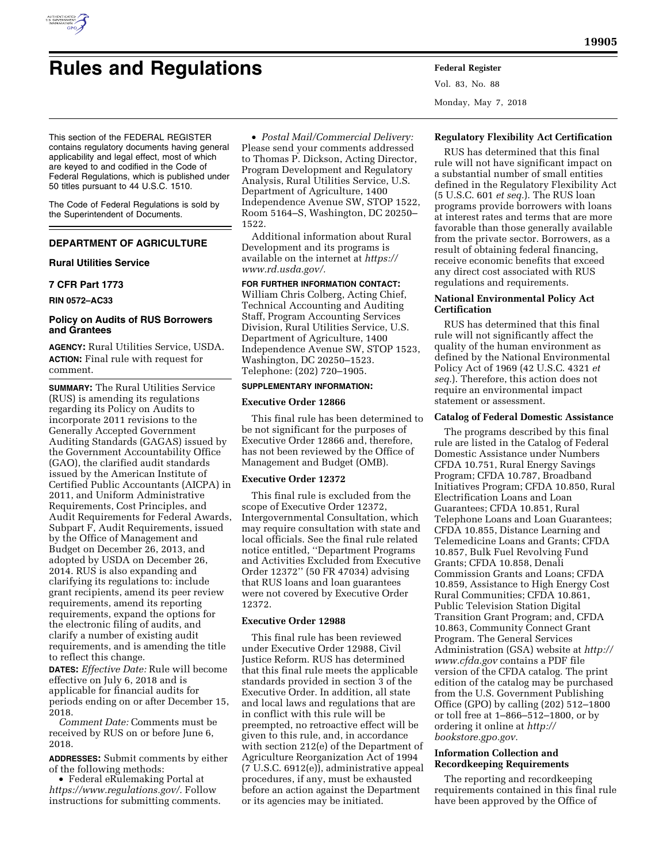

# **Rules and Regulations Federal Register**

This section of the FEDERAL REGISTER contains regulatory documents having general applicability and legal effect, most of which are keyed to and codified in the Code of Federal Regulations, which is published under 50 titles pursuant to 44 U.S.C. 1510.

The Code of Federal Regulations is sold by the Superintendent of Documents.

# **DEPARTMENT OF AGRICULTURE**

# **Rural Utilities Service**

#### **7 CFR Part 1773**

**RIN 0572–AC33** 

# **Policy on Audits of RUS Borrowers and Grantees**

**AGENCY:** Rural Utilities Service, USDA. **ACTION:** Final rule with request for comment.

**SUMMARY:** The Rural Utilities Service (RUS) is amending its regulations regarding its Policy on Audits to incorporate 2011 revisions to the Generally Accepted Government Auditing Standards (GAGAS) issued by the Government Accountability Office (GAO), the clarified audit standards issued by the American Institute of Certified Public Accountants (AICPA) in 2011, and Uniform Administrative Requirements, Cost Principles, and Audit Requirements for Federal Awards, Subpart F, Audit Requirements, issued by the Office of Management and Budget on December 26, 2013, and adopted by USDA on December 26, 2014. RUS is also expanding and clarifying its regulations to: include grant recipients, amend its peer review requirements, amend its reporting requirements, expand the options for the electronic filing of audits, and clarify a number of existing audit requirements, and is amending the title to reflect this change.

**DATES:** *Effective Date:* Rule will become effective on July 6, 2018 and is applicable for financial audits for periods ending on or after December 15, 2018.

*Comment Date:* Comments must be received by RUS on or before June 6, 2018.

**ADDRESSES:** Submit comments by either of the following methods:

• Federal eRulemaking Portal at *[https://www.regulations.gov/.](https://www.regulations.gov/)* Follow instructions for submitting comments.

• *Postal Mail/Commercial Delivery:*  Please send your comments addressed to Thomas P. Dickson, Acting Director, Program Development and Regulatory Analysis, Rural Utilities Service, U.S. Department of Agriculture, 1400 Independence Avenue SW, STOP 1522, Room 5164–S, Washington, DC 20250– 1522.

Additional information about Rural Development and its programs is available on the internet at *[https://](https://www.rd.usda.gov/) [www.rd.usda.gov/.](https://www.rd.usda.gov/)* 

# **FOR FURTHER INFORMATION CONTACT:**

William Chris Colberg, Acting Chief, Technical Accounting and Auditing Staff, Program Accounting Services Division, Rural Utilities Service, U.S. Department of Agriculture, 1400 Independence Avenue SW, STOP 1523, Washington, DC 20250–1523. Telephone: (202) 720–1905.

## **SUPPLEMENTARY INFORMATION:**

# **Executive Order 12866**

This final rule has been determined to be not significant for the purposes of Executive Order 12866 and, therefore, has not been reviewed by the Office of Management and Budget (OMB).

#### **Executive Order 12372**

This final rule is excluded from the scope of Executive Order 12372, Intergovernmental Consultation, which may require consultation with state and local officials. See the final rule related notice entitled, ''Department Programs and Activities Excluded from Executive Order 12372'' (50 FR 47034) advising that RUS loans and loan guarantees were not covered by Executive Order 12372.

# **Executive Order 12988**

This final rule has been reviewed under Executive Order 12988, Civil Justice Reform. RUS has determined that this final rule meets the applicable standards provided in section 3 of the Executive Order. In addition, all state and local laws and regulations that are in conflict with this rule will be preempted, no retroactive effect will be given to this rule, and, in accordance with section 212(e) of the Department of Agriculture Reorganization Act of 1994 (7 U.S.C. 6912(e)), administrative appeal procedures, if any, must be exhausted before an action against the Department or its agencies may be initiated.

# **Regulatory Flexibility Act Certification**

Vol. 83, No. 88

Monday, May 7, 2018

RUS has determined that this final rule will not have significant impact on a substantial number of small entities defined in the Regulatory Flexibility Act (5 U.S.C. 601 *et seq.*). The RUS loan programs provide borrowers with loans at interest rates and terms that are more favorable than those generally available from the private sector. Borrowers, as a result of obtaining federal financing, receive economic benefits that exceed any direct cost associated with RUS regulations and requirements.

# **National Environmental Policy Act Certification**

RUS has determined that this final rule will not significantly affect the quality of the human environment as defined by the National Environmental Policy Act of 1969 (42 U.S.C. 4321 *et seq.*). Therefore, this action does not require an environmental impact statement or assessment.

# **Catalog of Federal Domestic Assistance**

The programs described by this final rule are listed in the Catalog of Federal Domestic Assistance under Numbers CFDA 10.751, Rural Energy Savings Program; CFDA 10.787, Broadband Initiatives Program; CFDA 10.850, Rural Electrification Loans and Loan Guarantees; CFDA 10.851, Rural Telephone Loans and Loan Guarantees; CFDA 10.855, Distance Learning and Telemedicine Loans and Grants; CFDA 10.857, Bulk Fuel Revolving Fund Grants; CFDA 10.858, Denali Commission Grants and Loans; CFDA 10.859, Assistance to High Energy Cost Rural Communities; CFDA 10.861, Public Television Station Digital Transition Grant Program; and, CFDA 10.863, Community Connect Grant Program. The General Services Administration (GSA) website at *[http://](http://www.cfda.gov)  [www.cfda.gov](http://www.cfda.gov)* contains a PDF file version of the CFDA catalog. The print edition of the catalog may be purchased from the U.S. Government Publishing Office (GPO) by calling (202) 512–1800 or toll free at 1–866–512–1800, or by ordering it online at *[http://](http://bookstore.gpo.gov) [bookstore.gpo.gov.](http://bookstore.gpo.gov)* 

# **Information Collection and Recordkeeping Requirements**

The reporting and recordkeeping requirements contained in this final rule have been approved by the Office of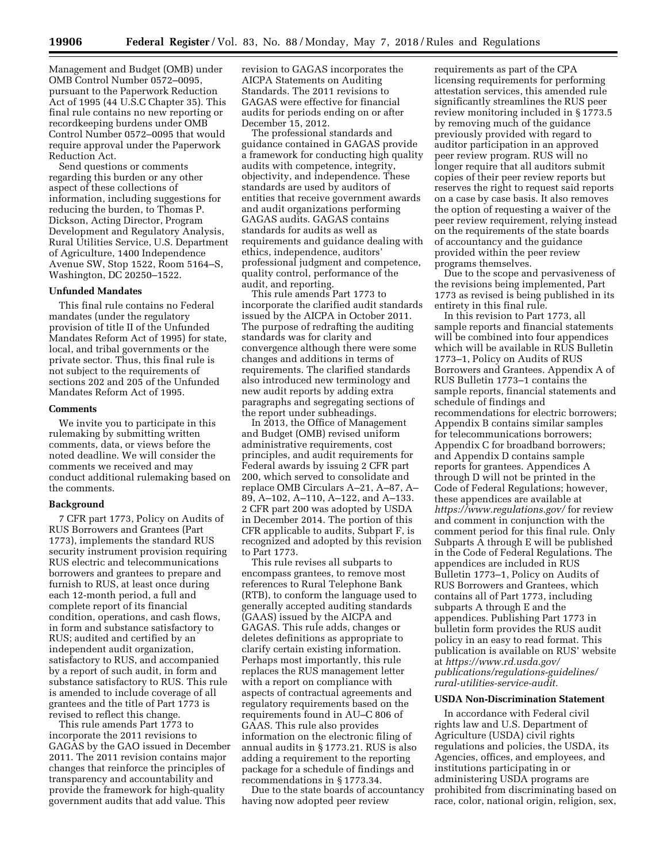Management and Budget (OMB) under OMB Control Number 0572–0095, pursuant to the Paperwork Reduction Act of 1995 (44 U.S.C Chapter 35). This final rule contains no new reporting or recordkeeping burdens under OMB Control Number 0572–0095 that would require approval under the Paperwork Reduction Act.

Send questions or comments regarding this burden or any other aspect of these collections of information, including suggestions for reducing the burden, to Thomas P. Dickson, Acting Director, Program Development and Regulatory Analysis, Rural Utilities Service, U.S. Department of Agriculture, 1400 Independence Avenue SW, Stop 1522, Room 5164–S, Washington, DC 20250–1522.

# **Unfunded Mandates**

This final rule contains no Federal mandates (under the regulatory provision of title II of the Unfunded Mandates Reform Act of 1995) for state, local, and tribal governments or the private sector. Thus, this final rule is not subject to the requirements of sections 202 and 205 of the Unfunded Mandates Reform Act of 1995.

#### **Comments**

We invite you to participate in this rulemaking by submitting written comments, data, or views before the noted deadline. We will consider the comments we received and may conduct additional rulemaking based on the comments.

#### **Background**

7 CFR part 1773, Policy on Audits of RUS Borrowers and Grantees (Part 1773), implements the standard RUS security instrument provision requiring RUS electric and telecommunications borrowers and grantees to prepare and furnish to RUS, at least once during each 12-month period, a full and complete report of its financial condition, operations, and cash flows, in form and substance satisfactory to RUS; audited and certified by an independent audit organization, satisfactory to RUS, and accompanied by a report of such audit, in form and substance satisfactory to RUS. This rule is amended to include coverage of all grantees and the title of Part 1773 is revised to reflect this change.

This rule amends Part 1773 to incorporate the 2011 revisions to GAGAS by the GAO issued in December 2011. The 2011 revision contains major changes that reinforce the principles of transparency and accountability and provide the framework for high-quality government audits that add value. This

revision to GAGAS incorporates the AICPA Statements on Auditing Standards. The 2011 revisions to GAGAS were effective for financial audits for periods ending on or after December 15, 2012.

The professional standards and guidance contained in GAGAS provide a framework for conducting high quality audits with competence, integrity, objectivity, and independence. These standards are used by auditors of entities that receive government awards and audit organizations performing GAGAS audits. GAGAS contains standards for audits as well as requirements and guidance dealing with ethics, independence, auditors' professional judgment and competence, quality control, performance of the audit, and reporting.

This rule amends Part 1773 to incorporate the clarified audit standards issued by the AICPA in October 2011. The purpose of redrafting the auditing standards was for clarity and convergence although there were some changes and additions in terms of requirements. The clarified standards also introduced new terminology and new audit reports by adding extra paragraphs and segregating sections of the report under subheadings.

In 2013, the Office of Management and Budget (OMB) revised uniform administrative requirements, cost principles, and audit requirements for Federal awards by issuing 2 CFR part 200, which served to consolidate and replace OMB Circulars A–21, A–87, A– 89, A–102, A–110, A–122, and A–133. 2 CFR part 200 was adopted by USDA in December 2014. The portion of this CFR applicable to audits, Subpart F, is recognized and adopted by this revision to Part 1773.

This rule revises all subparts to encompass grantees, to remove most references to Rural Telephone Bank (RTB), to conform the language used to generally accepted auditing standards (GAAS) issued by the AICPA and GAGAS. This rule adds, changes or deletes definitions as appropriate to clarify certain existing information. Perhaps most importantly, this rule replaces the RUS management letter with a report on compliance with aspects of contractual agreements and regulatory requirements based on the requirements found in AU–C 806 of GAAS. This rule also provides information on the electronic filing of annual audits in § 1773.21. RUS is also adding a requirement to the reporting package for a schedule of findings and recommendations in § 1773.34.

Due to the state boards of accountancy having now adopted peer review

requirements as part of the CPA licensing requirements for performing attestation services, this amended rule significantly streamlines the RUS peer review monitoring included in § 1773.5 by removing much of the guidance previously provided with regard to auditor participation in an approved peer review program. RUS will no longer require that all auditors submit copies of their peer review reports but reserves the right to request said reports on a case by case basis. It also removes the option of requesting a waiver of the peer review requirement, relying instead on the requirements of the state boards of accountancy and the guidance provided within the peer review programs themselves.

Due to the scope and pervasiveness of the revisions being implemented, Part 1773 as revised is being published in its entirety in this final rule.

In this revision to Part 1773, all sample reports and financial statements will be combined into four appendices which will be available in RUS Bulletin 1773–1, Policy on Audits of RUS Borrowers and Grantees. Appendix A of RUS Bulletin 1773–1 contains the sample reports, financial statements and schedule of findings and recommendations for electric borrowers; Appendix B contains similar samples for telecommunications borrowers; Appendix C for broadband borrowers; and Appendix D contains sample reports for grantees. Appendices A through D will not be printed in the Code of Federal Regulations; however, these appendices are available at *<https://www.regulations.gov/>*for review and comment in conjunction with the comment period for this final rule. Only Subparts A through E will be published in the Code of Federal Regulations. The appendices are included in RUS Bulletin 1773–1, Policy on Audits of RUS Borrowers and Grantees, which contains all of Part 1773, including subparts A through E and the appendices. Publishing Part 1773 in bulletin form provides the RUS audit policy in an easy to read format. This publication is available on RUS' website at *[https://www.rd.usda.gov/](https://www.rd.usda.gov/publications/regulations-guidelines/rural-utilities-service-audit) [publications/regulations-guidelines/](https://www.rd.usda.gov/publications/regulations-guidelines/rural-utilities-service-audit) [rural-utilities-service-audit.](https://www.rd.usda.gov/publications/regulations-guidelines/rural-utilities-service-audit)* 

#### **USDA Non-Discrimination Statement**

In accordance with Federal civil rights law and U.S. Department of Agriculture (USDA) civil rights regulations and policies, the USDA, its Agencies, offices, and employees, and institutions participating in or administering USDA programs are prohibited from discriminating based on race, color, national origin, religion, sex,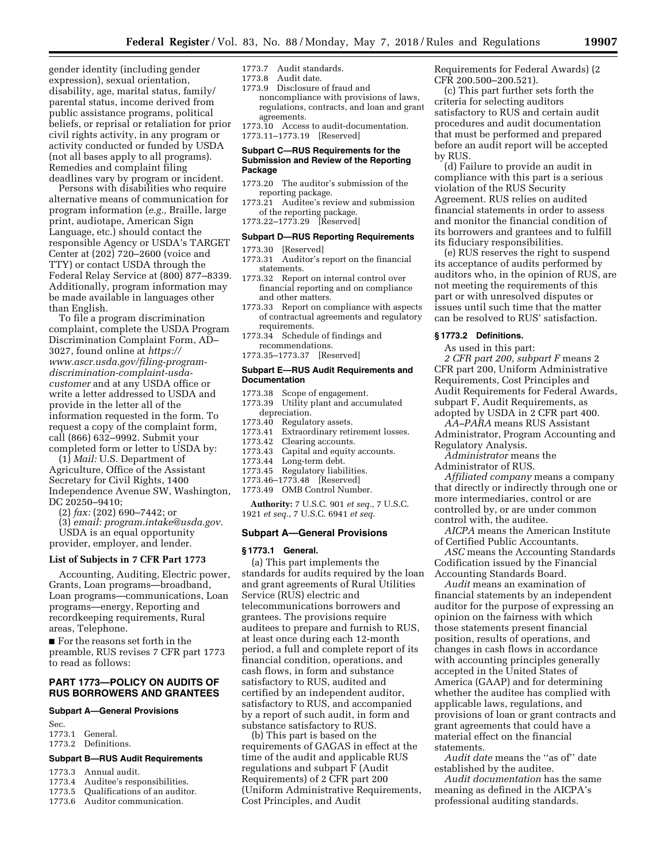gender identity (including gender expression), sexual orientation, disability, age, marital status, family/ parental status, income derived from public assistance programs, political beliefs, or reprisal or retaliation for prior civil rights activity, in any program or activity conducted or funded by USDA (not all bases apply to all programs). Remedies and complaint filing deadlines vary by program or incident.

Persons with disabilities who require alternative means of communication for program information (*e.g.,* Braille, large print, audiotape, American Sign Language, etc.) should contact the responsible Agency or USDA's TARGET Center at (202) 720–2600 (voice and TTY) or contact USDA through the Federal Relay Service at (800) 877–8339. Additionally, program information may be made available in languages other than English.

To file a program discrimination complaint, complete the USDA Program Discrimination Complaint Form, AD– 3027, found online at *[https://](https://www.ascr.usda.gov/filing-program-discrimination-complaint-usda-customer) [www.ascr.usda.gov/filing-program](https://www.ascr.usda.gov/filing-program-discrimination-complaint-usda-customer)[discrimination-complaint-usda](https://www.ascr.usda.gov/filing-program-discrimination-complaint-usda-customer)[customer](https://www.ascr.usda.gov/filing-program-discrimination-complaint-usda-customer)* and at any USDA office or write a letter addressed to USDA and provide in the letter all of the information requested in the form. To request a copy of the complaint form, call (866) 632–9992. Submit your completed form or letter to USDA by:

(1) *Mail:* U.S. Department of Agriculture, Office of the Assistant Secretary for Civil Rights, 1400 Independence Avenue SW, Washington, DC 20250–9410;

- (2) *fax:* (202) 690–7442; or
- (3) *email: [program.intake@usda.gov.](mailto:program.intake@usda.gov)*  USDA is an equal opportunity

provider, employer, and lender.

#### **List of Subjects in 7 CFR Part 1773**

Accounting, Auditing, Electric power, Grants, Loan programs—broadband, Loan programs—communications, Loan programs—energy, Reporting and recordkeeping requirements, Rural areas, Telephone.

■ For the reasons set forth in the preamble, RUS revises 7 CFR part 1773 to read as follows:

# **PART 1773—POLICY ON AUDITS OF RUS BORROWERS AND GRANTEES**

#### **Subpart A—General Provisions**

Sec.

1773.1 General. 1773.2 Definitions.

#### **Subpart B—RUS Audit Requirements**

- 1773.3 Annual audit.
- Auditee's responsibilities.
- 1773.5 Qualifications of an auditor.
- 1773.6 Auditor communication.
- 1773.7 Audit standards.
- 1773.8 Audit date.
- 1773.9 Disclosure of fraud and noncompliance with provisions of laws, regulations, contracts, and loan and grant agreements.
- 1773.10 Access to audit-documentation. 1773.11–1773.19 [Reserved]

#### **Subpart C—RUS Requirements for the Submission and Review of the Reporting Package**

- 1773.20 The auditor's submission of the reporting package.
- 1773.21 Auditee's review and submission of the reporting package.
- 1773.22–1773.29 [Reserved]

#### **Subpart D—RUS Reporting Requirements**

#### 1773.30 [Reserved]

- 1773.31 Auditor's report on the financial statements.
- 1773.32 Report on internal control over financial reporting and on compliance and other matters.
- 1773.33 Report on compliance with aspects of contractual agreements and regulatory requirements.
- 1773.34 Schedule of findings and recommendations.
- 1773.35–1773.37 [Reserved]

## **Subpart E—RUS Audit Requirements and Documentation**

- 1773.38 Scope of engagement. 1773.39 Utility plant and accumulated depreciation.
- 1773.40 Regulatory assets.
- 
- 1773.41 Extraordinary retirement losses.<br>1773.42 Clearing accounts.
- 1773.42 Clearing accounts.
- 1773.43 Capital and equity accounts.<br>1773.44 Long-term debt.
- 1773.44 Long-term debt. Regulatory liabilities.
- 1773.46–1773.48 [Reserved]
- 1773.49 OMB Control Number.

**Authority:** 7 U.S.C. 901 *et seq.,* 7 U.S.C. 1921 *et seq.,* 7 U.S.C. 6941 *et seq.* 

#### **Subpart A—General Provisions**

#### **§ 1773.1 General.**

(a) This part implements the standards for audits required by the loan and grant agreements of Rural Utilities Service (RUS) electric and telecommunications borrowers and grantees. The provisions require auditees to prepare and furnish to RUS, at least once during each 12-month period, a full and complete report of its financial condition, operations, and cash flows, in form and substance satisfactory to RUS, audited and certified by an independent auditor, satisfactory to RUS, and accompanied by a report of such audit, in form and substance satisfactory to RUS.

(b) This part is based on the requirements of GAGAS in effect at the time of the audit and applicable RUS regulations and subpart F (Audit Requirements) of 2 CFR part 200 (Uniform Administrative Requirements, Cost Principles, and Audit

Requirements for Federal Awards) (2 CFR 200.500–200.521).

(c) This part further sets forth the criteria for selecting auditors satisfactory to RUS and certain audit procedures and audit documentation that must be performed and prepared before an audit report will be accepted by RUS.

(d) Failure to provide an audit in compliance with this part is a serious violation of the RUS Security Agreement. RUS relies on audited financial statements in order to assess and monitor the financial condition of its borrowers and grantees and to fulfill its fiduciary responsibilities.

(e) RUS reserves the right to suspend its acceptance of audits performed by auditors who, in the opinion of RUS, are not meeting the requirements of this part or with unresolved disputes or issues until such time that the matter can be resolved to RUS' satisfaction.

#### **§ 1773.2 Definitions.**

As used in this part:

*2 CFR part 200, subpart F* means 2 CFR part 200, Uniform Administrative Requirements, Cost Principles and Audit Requirements for Federal Awards, subpart F, Audit Requirements, as adopted by USDA in 2 CFR part 400.

*AA–PARA* means RUS Assistant Administrator, Program Accounting and Regulatory Analysis.

*Administrator* means the Administrator of RUS.

*Affiliated company* means a company that directly or indirectly through one or more intermediaries, control or are controlled by, or are under common control with, the auditee.

*AICPA* means the American Institute of Certified Public Accountants.

*ASC* means the Accounting Standards Codification issued by the Financial Accounting Standards Board.

*Audit* means an examination of financial statements by an independent auditor for the purpose of expressing an opinion on the fairness with which those statements present financial position, results of operations, and changes in cash flows in accordance with accounting principles generally accepted in the United States of America (GAAP) and for determining whether the auditee has complied with applicable laws, regulations, and provisions of loan or grant contracts and grant agreements that could have a material effect on the financial statements.

*Audit date* means the ''as of'' date established by the auditee.

*Audit documentation* has the same meaning as defined in the AICPA's professional auditing standards.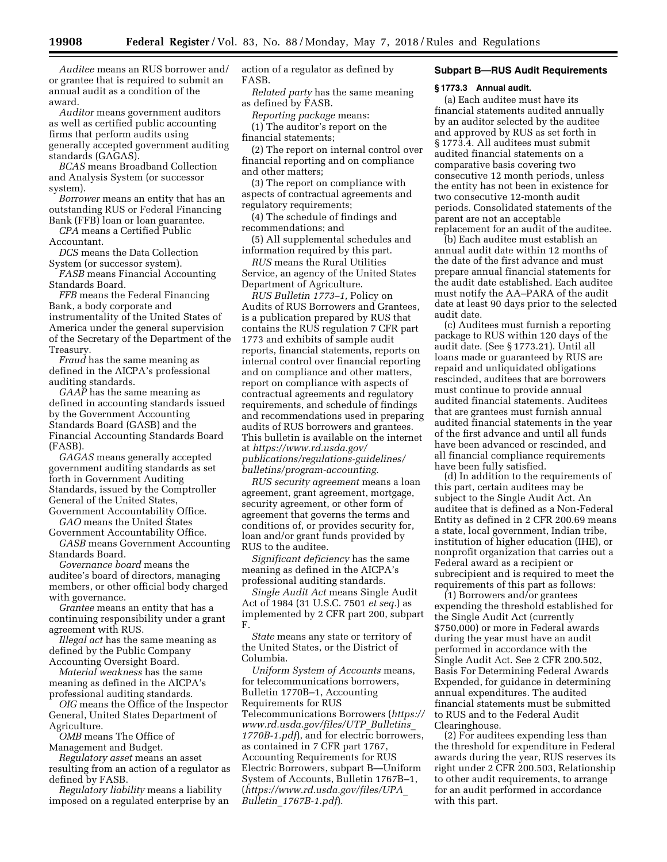*Auditee* means an RUS borrower and/ or grantee that is required to submit an annual audit as a condition of the award.

*Auditor* means government auditors as well as certified public accounting firms that perform audits using generally accepted government auditing standards (GAGAS).

*BCAS* means Broadband Collection and Analysis System (or successor system).

*Borrower* means an entity that has an outstanding RUS or Federal Financing Bank (FFB) loan or loan guarantee.

*CPA* means a Certified Public Accountant.

*DCS* means the Data Collection System (or successor system).

*FASB* means Financial Accounting Standards Board.

*FFB* means the Federal Financing Bank, a body corporate and instrumentality of the United States of America under the general supervision of the Secretary of the Department of the Treasury.

*Fraud* has the same meaning as defined in the AICPA's professional auditing standards.

*GAAP* has the same meaning as defined in accounting standards issued by the Government Accounting Standards Board (GASB) and the Financial Accounting Standards Board (FASB).

*GAGAS* means generally accepted government auditing standards as set forth in Government Auditing Standards, issued by the Comptroller General of the United States, Government Accountability Office.

*GAO* means the United States

Government Accountability Office. *GASB* means Government Accounting Standards Board.

*Governance board* means the auditee's board of directors, managing members, or other official body charged with governance.

*Grantee* means an entity that has a continuing responsibility under a grant agreement with RUS.

*Illegal act* has the same meaning as defined by the Public Company Accounting Oversight Board.

*Material weakness* has the same meaning as defined in the AICPA's professional auditing standards.

*OIG* means the Office of the Inspector General, United States Department of Agriculture.

*OMB* means The Office of Management and Budget.

*Regulatory asset* means an asset resulting from an action of a regulator as defined by FASB.

*Regulatory liability* means a liability imposed on a regulated enterprise by an action of a regulator as defined by FASB.

*Related party* has the same meaning as defined by FASB.

*Reporting package* means:

(1) The auditor's report on the financial statements;

(2) The report on internal control over financial reporting and on compliance and other matters;

(3) The report on compliance with aspects of contractual agreements and regulatory requirements;

(4) The schedule of findings and recommendations; and

(5) All supplemental schedules and information required by this part.

*RUS* means the Rural Utilities Service, an agency of the United States Department of Agriculture.

*RUS Bulletin 1773–1,* Policy on Audits of RUS Borrowers and Grantees, is a publication prepared by RUS that contains the RUS regulation 7 CFR part 1773 and exhibits of sample audit reports, financial statements, reports on internal control over financial reporting and on compliance and other matters, report on compliance with aspects of contractual agreements and regulatory requirements, and schedule of findings and recommendations used in preparing audits of RUS borrowers and grantees. This bulletin is available on the internet at *[https://www.rd.usda.gov/](https://www.rd.usda.gov/publications/regulations-guidelines/bulletins/program-accounting)  [publications/regulations-guidelines/](https://www.rd.usda.gov/publications/regulations-guidelines/bulletins/program-accounting)  [bulletins/program-accounting.](https://www.rd.usda.gov/publications/regulations-guidelines/bulletins/program-accounting)* 

*RUS security agreement* means a loan agreement, grant agreement, mortgage, security agreement, or other form of agreement that governs the terms and conditions of, or provides security for, loan and/or grant funds provided by RUS to the auditee.

*Significant deficiency* has the same meaning as defined in the AICPA's professional auditing standards.

*Single Audit Act* means Single Audit Act of 1984 (31 U.S.C. 7501 *et seq.*) as implemented by 2 CFR part 200, subpart F.

*State* means any state or territory of the United States, or the District of Columbia.

*Uniform System of Accounts* means, for telecommunications borrowers, Bulletin 1770B–1, Accounting Requirements for RUS Telecommunications Borrowers (*[https://](https://www.rd.usda.gov/files/UTP_Bulletins_1770B-1.pdf)  [www.rd.usda.gov/files/UTP](https://www.rd.usda.gov/files/UTP_Bulletins_1770B-1.pdf)*\_*Bulletins*\_ *[1770B-1.pdf](https://www.rd.usda.gov/files/UTP_Bulletins_1770B-1.pdf)*), and for electric borrowers, as contained in 7 CFR part 1767, Accounting Requirements for RUS Electric Borrowers, subpart B—Uniform System of Accounts, Bulletin 1767B–1, (*[https://www.rd.usda.gov/files/UPA](https://www.rd.usda.gov/files/UPA_Bulletin_1767B-1.pdf)*\_ *Bulletin*\_*[1767B-1.pdf](https://www.rd.usda.gov/files/UPA_Bulletin_1767B-1.pdf)*).

# **Subpart B—RUS Audit Requirements**

# **§ 1773.3 Annual audit.**

(a) Each auditee must have its financial statements audited annually by an auditor selected by the auditee and approved by RUS as set forth in § 1773.4. All auditees must submit audited financial statements on a comparative basis covering two consecutive 12 month periods, unless the entity has not been in existence for two consecutive 12-month audit periods. Consolidated statements of the parent are not an acceptable replacement for an audit of the auditee.

(b) Each auditee must establish an annual audit date within 12 months of the date of the first advance and must prepare annual financial statements for the audit date established. Each auditee must notify the AA–PARA of the audit date at least 90 days prior to the selected audit date.

(c) Auditees must furnish a reporting package to RUS within 120 days of the audit date. (See § 1773.21). Until all loans made or guaranteed by RUS are repaid and unliquidated obligations rescinded, auditees that are borrowers must continue to provide annual audited financial statements. Auditees that are grantees must furnish annual audited financial statements in the year of the first advance and until all funds have been advanced or rescinded, and all financial compliance requirements have been fully satisfied.

(d) In addition to the requirements of this part, certain auditees may be subject to the Single Audit Act. An auditee that is defined as a Non-Federal Entity as defined in 2 CFR 200.69 means a state, local government, Indian tribe, institution of higher education (IHE), or nonprofit organization that carries out a Federal award as a recipient or subrecipient and is required to meet the requirements of this part as follows:

(1) Borrowers and/or grantees expending the threshold established for the Single Audit Act (currently \$750,000) or more in Federal awards during the year must have an audit performed in accordance with the Single Audit Act. See 2 CFR 200.502, Basis For Determining Federal Awards Expended, for guidance in determining annual expenditures. The audited financial statements must be submitted to RUS and to the Federal Audit Clearinghouse.

(2) For auditees expending less than the threshold for expenditure in Federal awards during the year, RUS reserves its right under 2 CFR 200.503, Relationship to other audit requirements, to arrange for an audit performed in accordance with this part.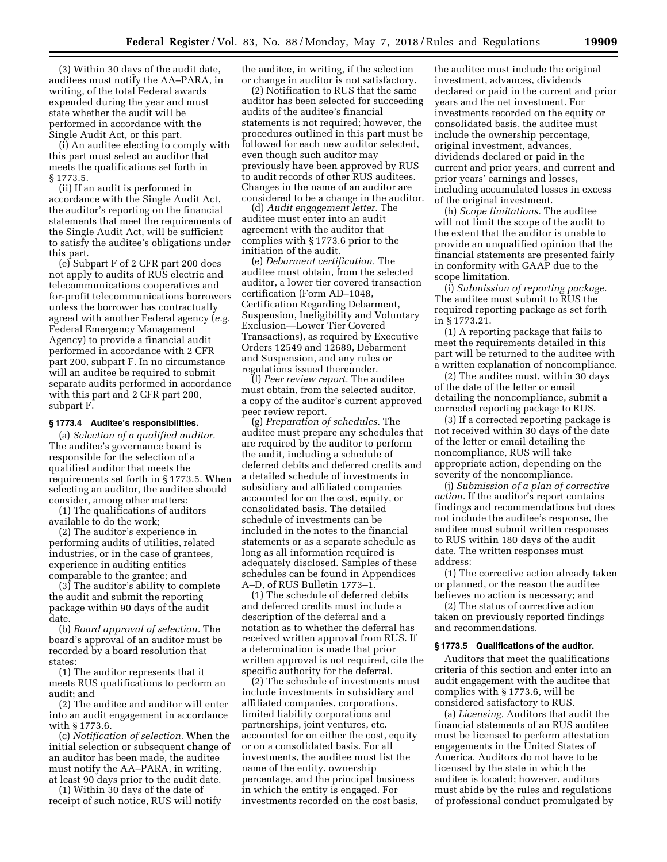(3) Within 30 days of the audit date, auditees must notify the AA–PARA, in writing, of the total Federal awards expended during the year and must state whether the audit will be performed in accordance with the Single Audit Act, or this part.

(i) An auditee electing to comply with this part must select an auditor that meets the qualifications set forth in § 1773.5.

(ii) If an audit is performed in accordance with the Single Audit Act, the auditor's reporting on the financial statements that meet the requirements of the Single Audit Act, will be sufficient to satisfy the auditee's obligations under this part.

(e) Subpart F of 2 CFR part 200 does not apply to audits of RUS electric and telecommunications cooperatives and for-profit telecommunications borrowers unless the borrower has contractually agreed with another Federal agency (*e.g.*  Federal Emergency Management Agency) to provide a financial audit performed in accordance with 2 CFR part 200, subpart F. In no circumstance will an auditee be required to submit separate audits performed in accordance with this part and 2 CFR part 200, subpart F.

# **§ 1773.4 Auditee's responsibilities.**

(a) *Selection of a qualified auditor.*  The auditee's governance board is responsible for the selection of a qualified auditor that meets the requirements set forth in § 1773.5. When selecting an auditor, the auditee should consider, among other matters:

(1) The qualifications of auditors available to do the work;

(2) The auditor's experience in performing audits of utilities, related industries, or in the case of grantees, experience in auditing entities comparable to the grantee; and

(3) The auditor's ability to complete the audit and submit the reporting package within 90 days of the audit date.

(b) *Board approval of selection.* The board's approval of an auditor must be recorded by a board resolution that states:

(1) The auditor represents that it meets RUS qualifications to perform an audit; and

(2) The auditee and auditor will enter into an audit engagement in accordance with § 1773.6.

(c) *Notification of selection.* When the initial selection or subsequent change of an auditor has been made, the auditee must notify the AA–PARA, in writing, at least 90 days prior to the audit date.

(1) Within 30 days of the date of receipt of such notice, RUS will notify the auditee, in writing, if the selection or change in auditor is not satisfactory.

(2) Notification to RUS that the same auditor has been selected for succeeding audits of the auditee's financial statements is not required; however, the procedures outlined in this part must be followed for each new auditor selected, even though such auditor may previously have been approved by RUS to audit records of other RUS auditees. Changes in the name of an auditor are considered to be a change in the auditor.

(d) *Audit engagement letter.* The auditee must enter into an audit agreement with the auditor that complies with § 1773.6 prior to the initiation of the audit.

(e) *Debarment certification.* The auditee must obtain, from the selected auditor, a lower tier covered transaction certification (Form AD–1048, Certification Regarding Debarment, Suspension, Ineligibility and Voluntary Exclusion—Lower Tier Covered Transactions), as required by Executive Orders 12549 and 12689, Debarment and Suspension, and any rules or regulations issued thereunder.

(f) *Peer review report.* The auditee must obtain, from the selected auditor, a copy of the auditor's current approved peer review report.

(g) *Preparation of schedules.* The auditee must prepare any schedules that are required by the auditor to perform the audit, including a schedule of deferred debits and deferred credits and a detailed schedule of investments in subsidiary and affiliated companies accounted for on the cost, equity, or consolidated basis. The detailed schedule of investments can be included in the notes to the financial statements or as a separate schedule as long as all information required is adequately disclosed. Samples of these schedules can be found in Appendices A–D, of RUS Bulletin 1773–1.

(1) The schedule of deferred debits and deferred credits must include a description of the deferral and a notation as to whether the deferral has received written approval from RUS. If a determination is made that prior written approval is not required, cite the specific authority for the deferral.

(2) The schedule of investments must include investments in subsidiary and affiliated companies, corporations, limited liability corporations and partnerships, joint ventures, etc. accounted for on either the cost, equity or on a consolidated basis. For all investments, the auditee must list the name of the entity, ownership percentage, and the principal business in which the entity is engaged. For investments recorded on the cost basis,

the auditee must include the original investment, advances, dividends declared or paid in the current and prior years and the net investment. For investments recorded on the equity or consolidated basis, the auditee must include the ownership percentage, original investment, advances, dividends declared or paid in the current and prior years, and current and prior years' earnings and losses, including accumulated losses in excess of the original investment.

(h) *Scope limitations.* The auditee will not limit the scope of the audit to the extent that the auditor is unable to provide an unqualified opinion that the financial statements are presented fairly in conformity with GAAP due to the scope limitation.

(i) *Submission of reporting package.*  The auditee must submit to RUS the required reporting package as set forth in § 1773.21.

(1) A reporting package that fails to meet the requirements detailed in this part will be returned to the auditee with a written explanation of noncompliance.

(2) The auditee must, within 30 days of the date of the letter or email detailing the noncompliance, submit a corrected reporting package to RUS.

(3) If a corrected reporting package is not received within 30 days of the date of the letter or email detailing the noncompliance, RUS will take appropriate action, depending on the severity of the noncompliance.

(j) *Submission of a plan of corrective action.* If the auditor's report contains findings and recommendations but does not include the auditee's response, the auditee must submit written responses to RUS within 180 days of the audit date. The written responses must address:

(1) The corrective action already taken or planned, or the reason the auditee believes no action is necessary; and

(2) The status of corrective action taken on previously reported findings and recommendations.

#### **§ 1773.5 Qualifications of the auditor.**

Auditors that meet the qualifications criteria of this section and enter into an audit engagement with the auditee that complies with § 1773.6, will be considered satisfactory to RUS.

(a) *Licensing.* Auditors that audit the financial statements of an RUS auditee must be licensed to perform attestation engagements in the United States of America. Auditors do not have to be licensed by the state in which the auditee is located; however, auditors must abide by the rules and regulations of professional conduct promulgated by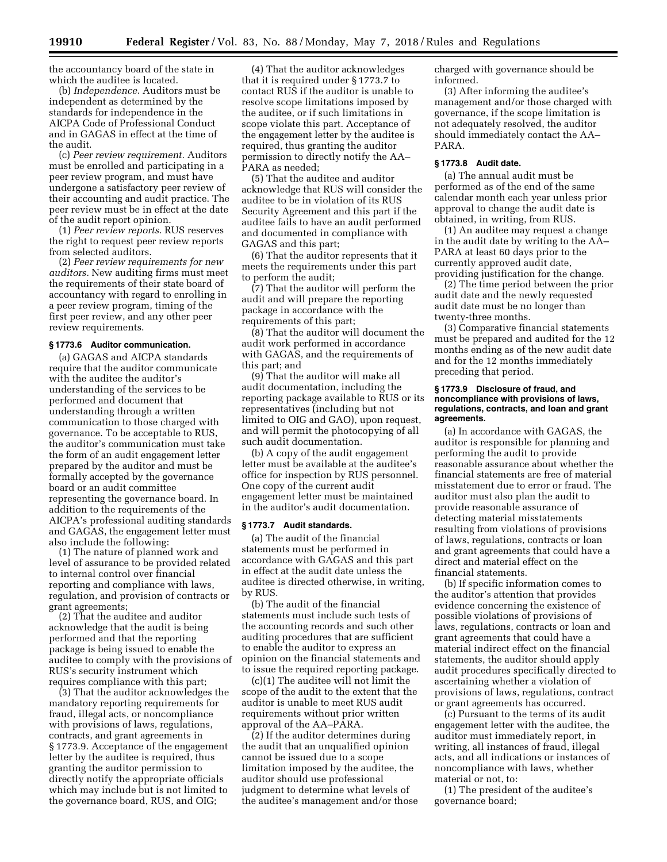the accountancy board of the state in which the auditee is located.

(b) *Independence.* Auditors must be independent as determined by the standards for independence in the AICPA Code of Professional Conduct and in GAGAS in effect at the time of the audit.

(c) *Peer review requirement.* Auditors must be enrolled and participating in a peer review program, and must have undergone a satisfactory peer review of their accounting and audit practice. The peer review must be in effect at the date of the audit report opinion.

(1) *Peer review reports.* RUS reserves the right to request peer review reports from selected auditors.

(2) *Peer review requirements for new auditors.* New auditing firms must meet the requirements of their state board of accountancy with regard to enrolling in a peer review program, timing of the first peer review, and any other peer review requirements.

### **§ 1773.6 Auditor communication.**

(a) GAGAS and AICPA standards require that the auditor communicate with the auditee the auditor's understanding of the services to be performed and document that understanding through a written communication to those charged with governance. To be acceptable to RUS, the auditor's communication must take the form of an audit engagement letter prepared by the auditor and must be formally accepted by the governance board or an audit committee representing the governance board. In addition to the requirements of the AICPA's professional auditing standards and GAGAS, the engagement letter must also include the following:

(1) The nature of planned work and level of assurance to be provided related to internal control over financial reporting and compliance with laws, regulation, and provision of contracts or grant agreements;

(2) That the auditee and auditor acknowledge that the audit is being performed and that the reporting package is being issued to enable the auditee to comply with the provisions of RUS's security instrument which requires compliance with this part;

(3) That the auditor acknowledges the mandatory reporting requirements for fraud, illegal acts, or noncompliance with provisions of laws, regulations, contracts, and grant agreements in § 1773.9. Acceptance of the engagement letter by the auditee is required, thus granting the auditor permission to directly notify the appropriate officials which may include but is not limited to the governance board, RUS, and OIG;

(4) That the auditor acknowledges that it is required under § 1773.7 to contact RUS if the auditor is unable to resolve scope limitations imposed by the auditee, or if such limitations in scope violate this part. Acceptance of the engagement letter by the auditee is required, thus granting the auditor permission to directly notify the AA– PARA as needed;

(5) That the auditee and auditor acknowledge that RUS will consider the auditee to be in violation of its RUS Security Agreement and this part if the auditee fails to have an audit performed and documented in compliance with GAGAS and this part;

(6) That the auditor represents that it meets the requirements under this part to perform the audit;

(7) That the auditor will perform the audit and will prepare the reporting package in accordance with the requirements of this part;

(8) That the auditor will document the audit work performed in accordance with GAGAS, and the requirements of this part; and

(9) That the auditor will make all audit documentation, including the reporting package available to RUS or its representatives (including but not limited to OIG and GAO), upon request, and will permit the photocopying of all such audit documentation.

(b) A copy of the audit engagement letter must be available at the auditee's office for inspection by RUS personnel. One copy of the current audit engagement letter must be maintained in the auditor's audit documentation.

#### **§ 1773.7 Audit standards.**

(a) The audit of the financial statements must be performed in accordance with GAGAS and this part in effect at the audit date unless the auditee is directed otherwise, in writing, by RUS.

(b) The audit of the financial statements must include such tests of the accounting records and such other auditing procedures that are sufficient to enable the auditor to express an opinion on the financial statements and to issue the required reporting package.

(c)(1) The auditee will not limit the scope of the audit to the extent that the auditor is unable to meet RUS audit requirements without prior written approval of the AA–PARA.

(2) If the auditor determines during the audit that an unqualified opinion cannot be issued due to a scope limitation imposed by the auditee, the auditor should use professional judgment to determine what levels of the auditee's management and/or those charged with governance should be informed.

(3) After informing the auditee's management and/or those charged with governance, if the scope limitation is not adequately resolved, the auditor should immediately contact the AA– PARA.

# **§ 1773.8 Audit date.**

(a) The annual audit must be performed as of the end of the same calendar month each year unless prior approval to change the audit date is obtained, in writing, from RUS.

(1) An auditee may request a change in the audit date by writing to the AA– PARA at least 60 days prior to the currently approved audit date, providing justification for the change.

(2) The time period between the prior audit date and the newly requested audit date must be no longer than twenty-three months.

(3) Comparative financial statements must be prepared and audited for the 12 months ending as of the new audit date and for the 12 months immediately preceding that period.

#### **§ 1773.9 Disclosure of fraud, and noncompliance with provisions of laws, regulations, contracts, and loan and grant agreements.**

(a) In accordance with GAGAS, the auditor is responsible for planning and performing the audit to provide reasonable assurance about whether the financial statements are free of material misstatement due to error or fraud. The auditor must also plan the audit to provide reasonable assurance of detecting material misstatements resulting from violations of provisions of laws, regulations, contracts or loan and grant agreements that could have a direct and material effect on the financial statements.

(b) If specific information comes to the auditor's attention that provides evidence concerning the existence of possible violations of provisions of laws, regulations, contracts or loan and grant agreements that could have a material indirect effect on the financial statements, the auditor should apply audit procedures specifically directed to ascertaining whether a violation of provisions of laws, regulations, contract or grant agreements has occurred.

(c) Pursuant to the terms of its audit engagement letter with the auditee, the auditor must immediately report, in writing, all instances of fraud, illegal acts, and all indications or instances of noncompliance with laws, whether material or not, to:

(1) The president of the auditee's governance board;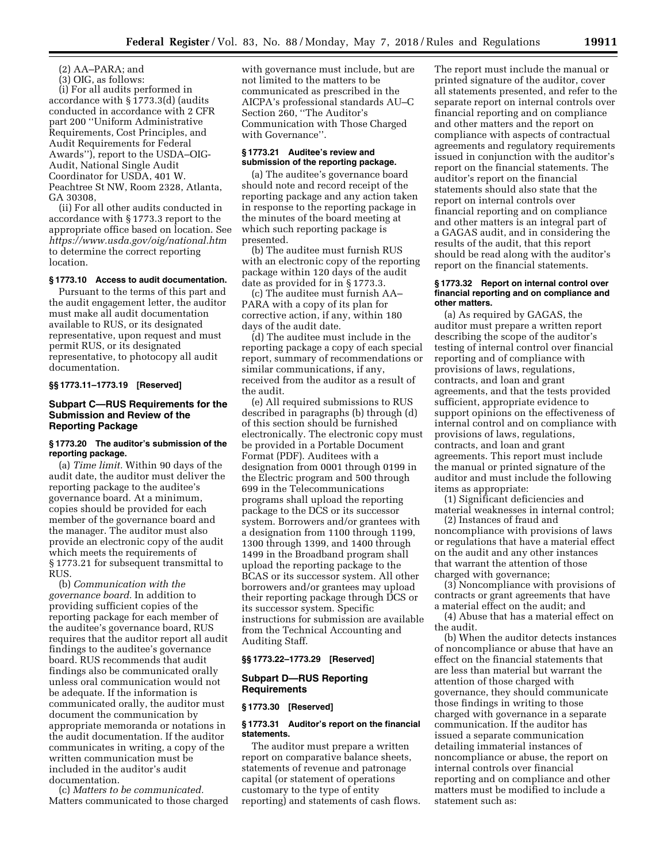(2) AA–PARA; and

(3) OIG, as follows:

(i) For all audits performed in accordance with  $\S$  1773.3(d) (audits conducted in accordance with 2 CFR part 200 ''Uniform Administrative Requirements, Cost Principles, and Audit Requirements for Federal Awards''), report to the USDA–OIG-Audit, National Single Audit Coordinator for USDA, 401 W. Peachtree St NW, Room 2328, Atlanta, GA 30308,

(ii) For all other audits conducted in accordance with § 1773.3 report to the appropriate office based on location. See *<https://www.usda.gov/oig/national.htm>*  to determine the correct reporting location.

# **§ 1773.10 Access to audit documentation.**

Pursuant to the terms of this part and the audit engagement letter, the auditor must make all audit documentation available to RUS, or its designated representative, upon request and must permit RUS, or its designated representative, to photocopy all audit documentation.

#### **§§ 1773.11–1773.19 [Reserved]**

# **Subpart C—RUS Requirements for the Submission and Review of the Reporting Package**

# **§ 1773.20 The auditor's submission of the reporting package.**

(a) *Time limit.* Within 90 days of the audit date, the auditor must deliver the reporting package to the auditee's governance board. At a minimum, copies should be provided for each member of the governance board and the manager. The auditor must also provide an electronic copy of the audit which meets the requirements of § 1773.21 for subsequent transmittal to RUS.

(b) *Communication with the governance board.* In addition to providing sufficient copies of the reporting package for each member of the auditee's governance board, RUS requires that the auditor report all audit findings to the auditee's governance board. RUS recommends that audit findings also be communicated orally unless oral communication would not be adequate. If the information is communicated orally, the auditor must document the communication by appropriate memoranda or notations in the audit documentation. If the auditor communicates in writing, a copy of the written communication must be included in the auditor's audit documentation.

(c) *Matters to be communicated.*  Matters communicated to those charged with governance must include, but are not limited to the matters to be communicated as prescribed in the AICPA's professional standards AU–C Section 260, ''The Auditor's Communication with Those Charged with Governance''.

#### **§ 1773.21 Auditee's review and submission of the reporting package.**

(a) The auditee's governance board should note and record receipt of the reporting package and any action taken in response to the reporting package in the minutes of the board meeting at which such reporting package is presented.

(b) The auditee must furnish RUS with an electronic copy of the reporting package within 120 days of the audit date as provided for in § 1773.3.

(c) The auditee must furnish AA– PARA with a copy of its plan for corrective action, if any, within 180 days of the audit date.

(d) The auditee must include in the reporting package a copy of each special report, summary of recommendations or similar communications, if any, received from the auditor as a result of the audit.

(e) All required submissions to RUS described in paragraphs (b) through (d) of this section should be furnished electronically. The electronic copy must be provided in a Portable Document Format (PDF). Auditees with a designation from 0001 through 0199 in the Electric program and 500 through 699 in the Telecommunications programs shall upload the reporting package to the DCS or its successor system. Borrowers and/or grantees with a designation from 1100 through 1199, 1300 through 1399, and 1400 through 1499 in the Broadband program shall upload the reporting package to the BCAS or its successor system. All other borrowers and/or grantees may upload their reporting package through DCS or its successor system. Specific instructions for submission are available from the Technical Accounting and Auditing Staff.

# **§§ 1773.22–1773.29 [Reserved]**

# **Subpart D—RUS Reporting Requirements**

# **§ 1773.30 [Reserved]**

#### **§ 1773.31 Auditor's report on the financial statements.**

The auditor must prepare a written report on comparative balance sheets, statements of revenue and patronage capital (or statement of operations customary to the type of entity reporting) and statements of cash flows.

The report must include the manual or printed signature of the auditor, cover all statements presented, and refer to the separate report on internal controls over financial reporting and on compliance and other matters and the report on compliance with aspects of contractual agreements and regulatory requirements issued in conjunction with the auditor's report on the financial statements. The auditor's report on the financial statements should also state that the report on internal controls over financial reporting and on compliance and other matters is an integral part of a GAGAS audit, and in considering the results of the audit, that this report should be read along with the auditor's report on the financial statements.

#### **§ 1773.32 Report on internal control over financial reporting and on compliance and other matters.**

(a) As required by GAGAS, the auditor must prepare a written report describing the scope of the auditor's testing of internal control over financial reporting and of compliance with provisions of laws, regulations, contracts, and loan and grant agreements, and that the tests provided sufficient, appropriate evidence to support opinions on the effectiveness of internal control and on compliance with provisions of laws, regulations, contracts, and loan and grant agreements. This report must include the manual or printed signature of the auditor and must include the following items as appropriate:

(1) Significant deficiencies and material weaknesses in internal control;

(2) Instances of fraud and noncompliance with provisions of laws or regulations that have a material effect on the audit and any other instances that warrant the attention of those charged with governance;

(3) Noncompliance with provisions of contracts or grant agreements that have a material effect on the audit; and

(4) Abuse that has a material effect on the audit.

(b) When the auditor detects instances of noncompliance or abuse that have an effect on the financial statements that are less than material but warrant the attention of those charged with governance, they should communicate those findings in writing to those charged with governance in a separate communication. If the auditor has issued a separate communication detailing immaterial instances of noncompliance or abuse, the report on internal controls over financial reporting and on compliance and other matters must be modified to include a statement such as: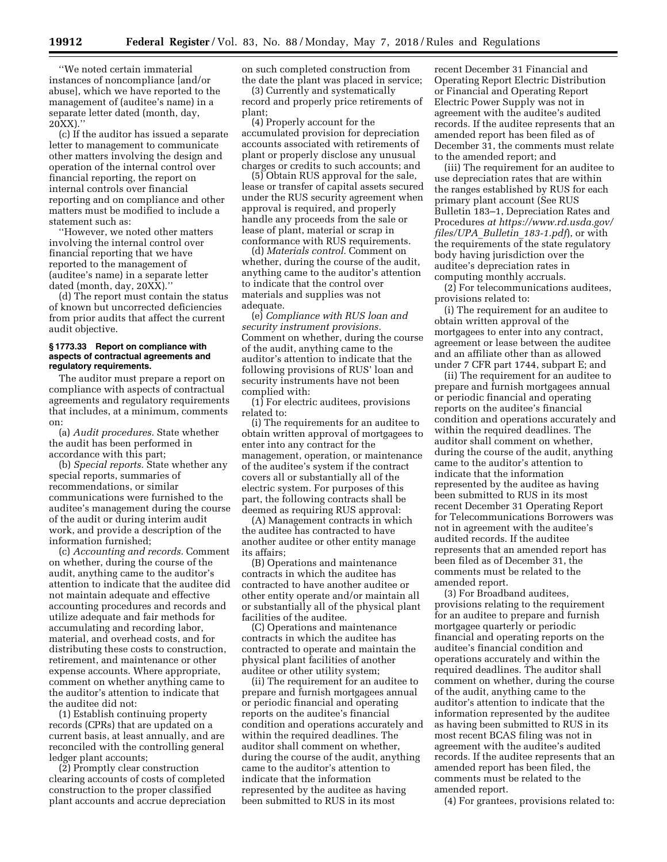''We noted certain immaterial instances of noncompliance [and/or abuse], which we have reported to the management of (auditee's name) in a separate letter dated (month, day, 20XX).''

(c) If the auditor has issued a separate letter to management to communicate other matters involving the design and operation of the internal control over financial reporting, the report on internal controls over financial reporting and on compliance and other matters must be modified to include a statement such as:

''However, we noted other matters involving the internal control over financial reporting that we have reported to the management of (auditee's name) in a separate letter dated (month, day, 20XX).''

(d) The report must contain the status of known but uncorrected deficiencies from prior audits that affect the current audit objective.

#### **§ 1773.33 Report on compliance with aspects of contractual agreements and regulatory requirements.**

The auditor must prepare a report on compliance with aspects of contractual agreements and regulatory requirements that includes, at a minimum, comments on:

(a) *Audit procedures.* State whether the audit has been performed in accordance with this part;

(b) *Special reports.* State whether any special reports, summaries of recommendations, or similar communications were furnished to the auditee's management during the course of the audit or during interim audit work, and provide a description of the information furnished;

(c) *Accounting and records.* Comment on whether, during the course of the audit, anything came to the auditor's attention to indicate that the auditee did not maintain adequate and effective accounting procedures and records and utilize adequate and fair methods for accumulating and recording labor, material, and overhead costs, and for distributing these costs to construction, retirement, and maintenance or other expense accounts. Where appropriate, comment on whether anything came to the auditor's attention to indicate that the auditee did not:

(1) Establish continuing property records (CPRs) that are updated on a current basis, at least annually, and are reconciled with the controlling general ledger plant accounts;

(2) Promptly clear construction clearing accounts of costs of completed construction to the proper classified plant accounts and accrue depreciation

on such completed construction from the date the plant was placed in service;

(3) Currently and systematically record and properly price retirements of plant;

(4) Properly account for the accumulated provision for depreciation accounts associated with retirements of plant or properly disclose any unusual charges or credits to such accounts; and

(5) Obtain RUS approval for the sale, lease or transfer of capital assets secured under the RUS security agreement when approval is required, and properly handle any proceeds from the sale or lease of plant, material or scrap in conformance with RUS requirements.

(d) *Materials control.* Comment on whether, during the course of the audit, anything came to the auditor's attention to indicate that the control over materials and supplies was not adequate.

(e) *Compliance with RUS loan and security instrument provisions.*  Comment on whether, during the course of the audit, anything came to the auditor's attention to indicate that the following provisions of RUS' loan and security instruments have not been complied with:

(1) For electric auditees, provisions related to:

(i) The requirements for an auditee to obtain written approval of mortgagees to enter into any contract for the management, operation, or maintenance of the auditee's system if the contract covers all or substantially all of the electric system. For purposes of this part, the following contracts shall be deemed as requiring RUS approval:

(A) Management contracts in which the auditee has contracted to have another auditee or other entity manage its affairs;

(B) Operations and maintenance contracts in which the auditee has contracted to have another auditee or other entity operate and/or maintain all or substantially all of the physical plant facilities of the auditee.

(C) Operations and maintenance contracts in which the auditee has contracted to operate and maintain the physical plant facilities of another auditee or other utility system;

(ii) The requirement for an auditee to prepare and furnish mortgagees annual or periodic financial and operating reports on the auditee's financial condition and operations accurately and within the required deadlines. The auditor shall comment on whether, during the course of the audit, anything came to the auditor's attention to indicate that the information represented by the auditee as having been submitted to RUS in its most

recent December 31 Financial and Operating Report Electric Distribution or Financial and Operating Report Electric Power Supply was not in agreement with the auditee's audited records. If the auditee represents that an amended report has been filed as of December 31, the comments must relate to the amended report; and

(iii) The requirement for an auditee to use depreciation rates that are within the ranges established by RUS for each primary plant account (See RUS Bulletin 183–1, Depreciation Rates and Procedures *at [https://www.rd.usda.gov/](https://www.rd.usda.gov/files/UPA_Bulletin_183-1.pdf) [files/UPA](https://www.rd.usda.gov/files/UPA_Bulletin_183-1.pdf)*\_*Bulletin*\_*183-1.pdf*), or with the requirements of the state regulatory body having jurisdiction over the auditee's depreciation rates in computing monthly accruals.

(2) For telecommunications auditees, provisions related to:

(i) The requirement for an auditee to obtain written approval of the mortgagees to enter into any contract, agreement or lease between the auditee and an affiliate other than as allowed under 7 CFR part 1744, subpart E; and

(ii) The requirement for an auditee to prepare and furnish mortgagees annual or periodic financial and operating reports on the auditee's financial condition and operations accurately and within the required deadlines. The auditor shall comment on whether, during the course of the audit, anything came to the auditor's attention to indicate that the information represented by the auditee as having been submitted to RUS in its most recent December 31 Operating Report for Telecommunications Borrowers was not in agreement with the auditee's audited records. If the auditee represents that an amended report has been filed as of December 31, the comments must be related to the amended report.

(3) For Broadband auditees, provisions relating to the requirement for an auditee to prepare and furnish mortgagee quarterly or periodic financial and operating reports on the auditee's financial condition and operations accurately and within the required deadlines. The auditor shall comment on whether, during the course of the audit, anything came to the auditor's attention to indicate that the information represented by the auditee as having been submitted to RUS in its most recent BCAS filing was not in agreement with the auditee's audited records. If the auditee represents that an amended report has been filed, the comments must be related to the amended report.

(4) For grantees, provisions related to: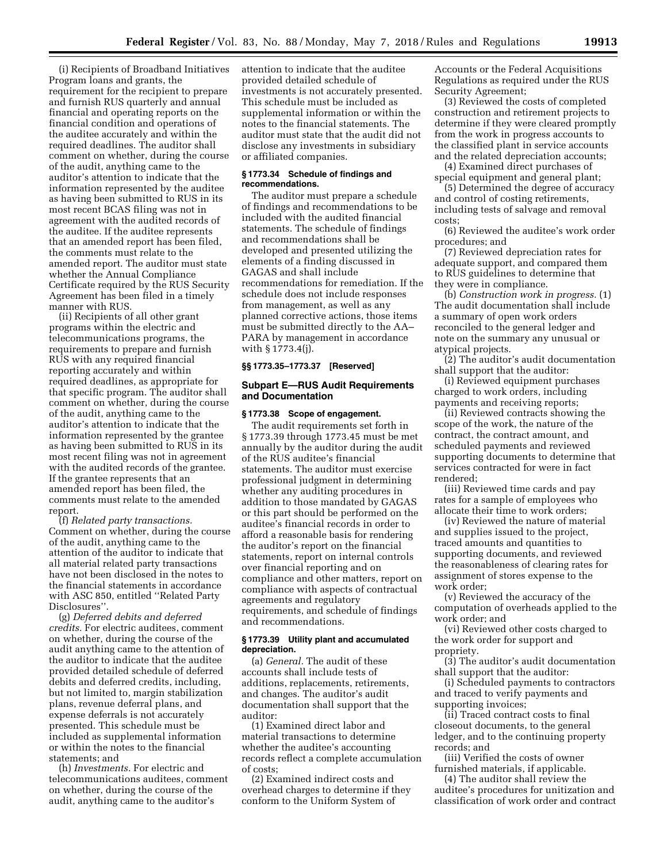(i) Recipients of Broadband Initiatives Program loans and grants, the requirement for the recipient to prepare and furnish RUS quarterly and annual financial and operating reports on the financial condition and operations of the auditee accurately and within the required deadlines. The auditor shall comment on whether, during the course of the audit, anything came to the auditor's attention to indicate that the information represented by the auditee as having been submitted to RUS in its most recent BCAS filing was not in agreement with the audited records of the auditee. If the auditee represents that an amended report has been filed, the comments must relate to the amended report. The auditor must state whether the Annual Compliance Certificate required by the RUS Security Agreement has been filed in a timely manner with RUS.

(ii) Recipients of all other grant programs within the electric and telecommunications programs, the requirements to prepare and furnish RUS with any required financial reporting accurately and within required deadlines, as appropriate for that specific program. The auditor shall comment on whether, during the course of the audit, anything came to the auditor's attention to indicate that the information represented by the grantee as having been submitted to RUS in its most recent filing was not in agreement with the audited records of the grantee. If the grantee represents that an amended report has been filed, the comments must relate to the amended report.

(f) *Related party transactions.*  Comment on whether, during the course of the audit, anything came to the attention of the auditor to indicate that all material related party transactions have not been disclosed in the notes to the financial statements in accordance with ASC 850, entitled ''Related Party Disclosures''.

(g) *Deferred debits and deferred credits.* For electric auditees, comment on whether, during the course of the audit anything came to the attention of the auditor to indicate that the auditee provided detailed schedule of deferred debits and deferred credits, including, but not limited to, margin stabilization plans, revenue deferral plans, and expense deferrals is not accurately presented. This schedule must be included as supplemental information or within the notes to the financial statements; and

(h) *Investments.* For electric and telecommunications auditees, comment on whether, during the course of the audit, anything came to the auditor's

attention to indicate that the auditee provided detailed schedule of investments is not accurately presented. This schedule must be included as supplemental information or within the notes to the financial statements. The auditor must state that the audit did not disclose any investments in subsidiary or affiliated companies.

#### **§ 1773.34 Schedule of findings and recommendations.**

The auditor must prepare a schedule of findings and recommendations to be included with the audited financial statements. The schedule of findings and recommendations shall be developed and presented utilizing the elements of a finding discussed in GAGAS and shall include recommendations for remediation. If the schedule does not include responses from management, as well as any planned corrective actions, those items must be submitted directly to the AA– PARA by management in accordance with § 1773.4(j).

# **§§ 1773.35–1773.37 [Reserved]**

# **Subpart E—RUS Audit Requirements and Documentation**

#### **§ 1773.38 Scope of engagement.**

The audit requirements set forth in § 1773.39 through 1773.45 must be met annually by the auditor during the audit of the RUS auditee's financial statements. The auditor must exercise professional judgment in determining whether any auditing procedures in addition to those mandated by GAGAS or this part should be performed on the auditee's financial records in order to afford a reasonable basis for rendering the auditor's report on the financial statements, report on internal controls over financial reporting and on compliance and other matters, report on compliance with aspects of contractual agreements and regulatory requirements, and schedule of findings and recommendations.

#### **§ 1773.39 Utility plant and accumulated depreciation.**

(a) *General.* The audit of these accounts shall include tests of additions, replacements, retirements, and changes. The auditor's audit documentation shall support that the auditor:

(1) Examined direct labor and material transactions to determine whether the auditee's accounting records reflect a complete accumulation of costs;

(2) Examined indirect costs and overhead charges to determine if they conform to the Uniform System of

Accounts or the Federal Acquisitions Regulations as required under the RUS Security Agreement;

(3) Reviewed the costs of completed construction and retirement projects to determine if they were cleared promptly from the work in progress accounts to the classified plant in service accounts and the related depreciation accounts;

(4) Examined direct purchases of special equipment and general plant;

(5) Determined the degree of accuracy and control of costing retirements, including tests of salvage and removal costs;

(6) Reviewed the auditee's work order procedures; and

(7) Reviewed depreciation rates for adequate support, and compared them to RUS guidelines to determine that they were in compliance.

(b) *Construction work in progress.* (1) The audit documentation shall include a summary of open work orders reconciled to the general ledger and note on the summary any unusual or atypical projects.

(2) The auditor's audit documentation shall support that the auditor:

(i) Reviewed equipment purchases charged to work orders, including payments and receiving reports;

(ii) Reviewed contracts showing the scope of the work, the nature of the contract, the contract amount, and scheduled payments and reviewed supporting documents to determine that services contracted for were in fact rendered;

(iii) Reviewed time cards and pay rates for a sample of employees who allocate their time to work orders;

(iv) Reviewed the nature of material and supplies issued to the project, traced amounts and quantities to supporting documents, and reviewed the reasonableness of clearing rates for assignment of stores expense to the work order;

(v) Reviewed the accuracy of the computation of overheads applied to the work order; and

(vi) Reviewed other costs charged to the work order for support and propriety.

(3) The auditor's audit documentation shall support that the auditor:

(i) Scheduled payments to contractors and traced to verify payments and supporting invoices;

(ii) Traced contract costs to final closeout documents, to the general ledger, and to the continuing property records; and

(iii) Verified the costs of owner furnished materials, if applicable.

(4) The auditor shall review the auditee's procedures for unitization and classification of work order and contract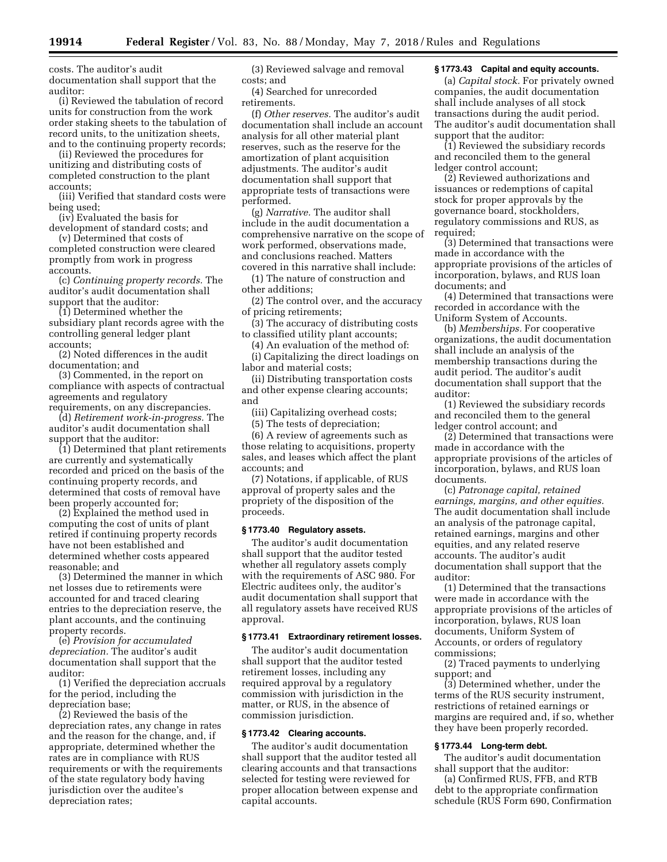costs. The auditor's audit documentation shall support that the auditor:

(i) Reviewed the tabulation of record units for construction from the work order staking sheets to the tabulation of record units, to the unitization sheets, and to the continuing property records;

(ii) Reviewed the procedures for unitizing and distributing costs of completed construction to the plant accounts;

(iii) Verified that standard costs were being used;

(iv) Evaluated the basis for development of standard costs; and

(v) Determined that costs of completed construction were cleared promptly from work in progress accounts.

(c) *Continuing property records.* The auditor's audit documentation shall support that the auditor:

(1) Determined whether the subsidiary plant records agree with the controlling general ledger plant accounts;

(2) Noted differences in the audit documentation; and

(3) Commented, in the report on compliance with aspects of contractual agreements and regulatory requirements, on any discrepancies.

(d) *Retirement work-in-progress.* The auditor's audit documentation shall support that the auditor:

(1) Determined that plant retirements are currently and systematically recorded and priced on the basis of the continuing property records, and determined that costs of removal have been properly accounted for;

(2) Explained the method used in computing the cost of units of plant retired if continuing property records have not been established and determined whether costs appeared reasonable; and

(3) Determined the manner in which net losses due to retirements were accounted for and traced clearing entries to the depreciation reserve, the plant accounts, and the continuing property records.

(e) *Provision for accumulated depreciation.* The auditor's audit documentation shall support that the auditor:

(1) Verified the depreciation accruals for the period, including the depreciation base;

(2) Reviewed the basis of the depreciation rates, any change in rates and the reason for the change, and, if appropriate, determined whether the rates are in compliance with RUS requirements or with the requirements of the state regulatory body having jurisdiction over the auditee's depreciation rates;

(3) Reviewed salvage and removal costs; and

(4) Searched for unrecorded retirements.

(f) *Other reserves.* The auditor's audit documentation shall include an account analysis for all other material plant reserves, such as the reserve for the amortization of plant acquisition adjustments. The auditor's audit documentation shall support that appropriate tests of transactions were performed.

(g) *Narrative.* The auditor shall include in the audit documentation a comprehensive narrative on the scope of work performed, observations made, and conclusions reached. Matters covered in this narrative shall include:

(1) The nature of construction and other additions;

(2) The control over, and the accuracy of pricing retirements;

(3) The accuracy of distributing costs to classified utility plant accounts;

(4) An evaluation of the method of:

(i) Capitalizing the direct loadings on labor and material costs;

(ii) Distributing transportation costs and other expense clearing accounts; and

(iii) Capitalizing overhead costs;

(5) The tests of depreciation;

(6) A review of agreements such as those relating to acquisitions, property sales, and leases which affect the plant accounts; and

(7) Notations, if applicable, of RUS approval of property sales and the propriety of the disposition of the proceeds.

#### **§ 1773.40 Regulatory assets.**

The auditor's audit documentation shall support that the auditor tested whether all regulatory assets comply with the requirements of ASC 980. For Electric auditees only, the auditor's audit documentation shall support that all regulatory assets have received RUS approval.

#### **§ 1773.41 Extraordinary retirement losses.**

The auditor's audit documentation shall support that the auditor tested retirement losses, including any required approval by a regulatory commission with jurisdiction in the matter, or RUS, in the absence of commission jurisdiction.

#### **§ 1773.42 Clearing accounts.**

The auditor's audit documentation shall support that the auditor tested all clearing accounts and that transactions selected for testing were reviewed for proper allocation between expense and capital accounts.

# **§ 1773.43 Capital and equity accounts.**

(a) *Capital stock.* For privately owned companies, the audit documentation shall include analyses of all stock transactions during the audit period. The auditor's audit documentation shall support that the auditor:

(1) Reviewed the subsidiary records and reconciled them to the general ledger control account;

(2) Reviewed authorizations and issuances or redemptions of capital stock for proper approvals by the governance board, stockholders, regulatory commissions and RUS, as required;

(3) Determined that transactions were made in accordance with the appropriate provisions of the articles of incorporation, bylaws, and RUS loan documents; and

(4) Determined that transactions were recorded in accordance with the Uniform System of Accounts.

(b) *Memberships.* For cooperative organizations, the audit documentation shall include an analysis of the membership transactions during the audit period. The auditor's audit documentation shall support that the auditor:

(1) Reviewed the subsidiary records and reconciled them to the general ledger control account; and

(2) Determined that transactions were made in accordance with the appropriate provisions of the articles of incorporation, bylaws, and RUS loan documents.

(c) *Patronage capital, retained earnings, margins, and other equities.*  The audit documentation shall include an analysis of the patronage capital, retained earnings, margins and other equities, and any related reserve accounts. The auditor's audit documentation shall support that the auditor:

(1) Determined that the transactions were made in accordance with the appropriate provisions of the articles of incorporation, bylaws, RUS loan documents, Uniform System of Accounts, or orders of regulatory commissions;

(2) Traced payments to underlying support; and

(3) Determined whether, under the terms of the RUS security instrument, restrictions of retained earnings or margins are required and, if so, whether they have been properly recorded.

#### **§ 1773.44 Long-term debt.**

The auditor's audit documentation shall support that the auditor:

(a) Confirmed RUS, FFB, and RTB debt to the appropriate confirmation schedule (RUS Form 690, Confirmation